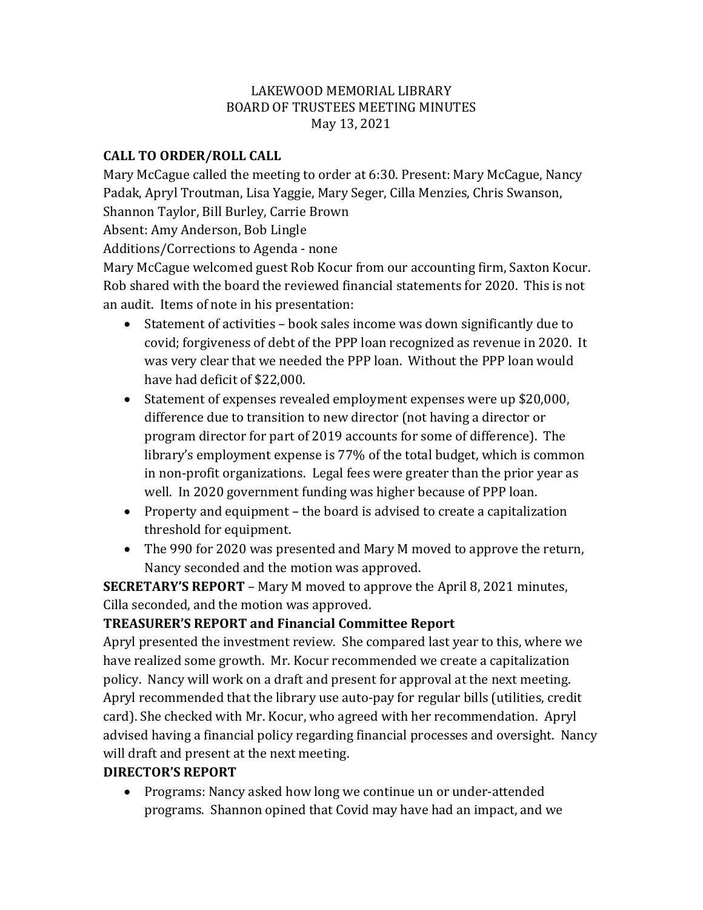#### LAKEWOOD MEMORIAL LIBRARY BOARD OF TRUSTEES MEETING MINUTES May 13, 2021

## **CALL TO ORDER/ROLL CALL**

Mary McCague called the meeting to order at 6:30. Present: Mary McCague, Nancy Padak, Apryl Troutman, Lisa Yaggie, Mary Seger, Cilla Menzies, Chris Swanson, Shannon Taylor, Bill Burley, Carrie Brown

Absent: Amy Anderson, Bob Lingle

Additions/Corrections to Agenda - none

Mary McCague welcomed guest Rob Kocur from our accounting firm, Saxton Kocur. Rob shared with the board the reviewed financial statements for 2020. This is not an audit. Items of note in his presentation:

- Statement of activities book sales income was down significantly due to covid; forgiveness of debt of the PPP loan recognized as revenue in 2020. It was very clear that we needed the PPP loan. Without the PPP loan would have had deficit of \$22,000.
- Statement of expenses revealed employment expenses were up \$20,000, difference due to transition to new director (not having a director or program director for part of 2019 accounts for some of difference). The library's employment expense is 77% of the total budget, which is common in non-profit organizations. Legal fees were greater than the prior year as well. In 2020 government funding was higher because of PPP loan.
- Property and equipment the board is advised to create a capitalization threshold for equipment.
- The 990 for 2020 was presented and Mary M moved to approve the return, Nancy seconded and the motion was approved.

**SECRETARY'S REPORT** – Mary M moved to approve the April 8, 2021 minutes, Cilla seconded, and the motion was approved.

## **TREASURER'S REPORT and Financial Committee Report**

Apryl presented the investment review. She compared last year to this, where we have realized some growth. Mr. Kocur recommended we create a capitalization policy. Nancy will work on a draft and present for approval at the next meeting. Apryl recommended that the library use auto-pay for regular bills (utilities, credit card). She checked with Mr. Kocur, who agreed with her recommendation. Apryl advised having a financial policy regarding financial processes and oversight. Nancy will draft and present at the next meeting.

## **DIRECTOR'S REPORT**

• Programs: Nancy asked how long we continue un or under-attended programs. Shannon opined that Covid may have had an impact, and we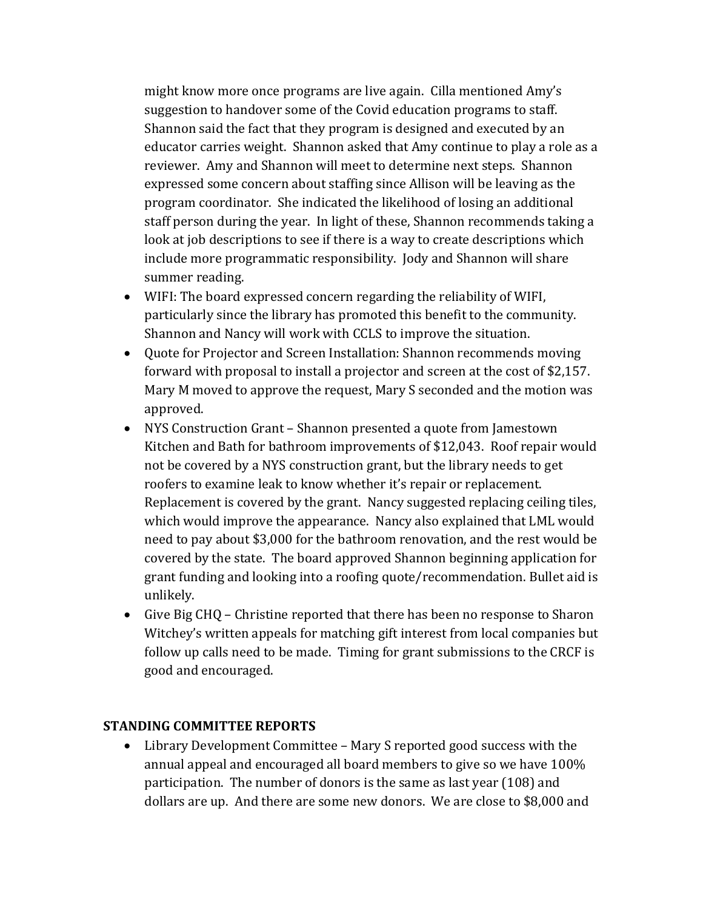might know more once programs are live again. Cilla mentioned Amy's suggestion to handover some of the Covid education programs to staff. Shannon said the fact that they program is designed and executed by an educator carries weight. Shannon asked that Amy continue to play a role as a reviewer. Amy and Shannon will meet to determine next steps. Shannon expressed some concern about staffing since Allison will be leaving as the program coordinator. She indicated the likelihood of losing an additional staff person during the year. In light of these, Shannon recommends taking a look at job descriptions to see if there is a way to create descriptions which include more programmatic responsibility. Jody and Shannon will share summer reading.

- WIFI: The board expressed concern regarding the reliability of WIFI, particularly since the library has promoted this benefit to the community. Shannon and Nancy will work with CCLS to improve the situation.
- Quote for Projector and Screen Installation: Shannon recommends moving forward with proposal to install a projector and screen at the cost of \$2,157. Mary M moved to approve the request, Mary S seconded and the motion was approved.
- NYS Construction Grant Shannon presented a quote from Jamestown Kitchen and Bath for bathroom improvements of \$12,043. Roof repair would not be covered by a NYS construction grant, but the library needs to get roofers to examine leak to know whether it's repair or replacement. Replacement is covered by the grant. Nancy suggested replacing ceiling tiles, which would improve the appearance. Nancy also explained that LML would need to pay about \$3,000 for the bathroom renovation, and the rest would be covered by the state. The board approved Shannon beginning application for grant funding and looking into a roofing quote/recommendation. Bullet aid is unlikely.
- Give Big CHQ Christine reported that there has been no response to Sharon Witchey's written appeals for matching gift interest from local companies but follow up calls need to be made. Timing for grant submissions to the CRCF is good and encouraged.

#### **STANDING COMMITTEE REPORTS**

• Library Development Committee – Mary S reported good success with the annual appeal and encouraged all board members to give so we have 100% participation. The number of donors is the same as last year (108) and dollars are up. And there are some new donors. We are close to \$8,000 and